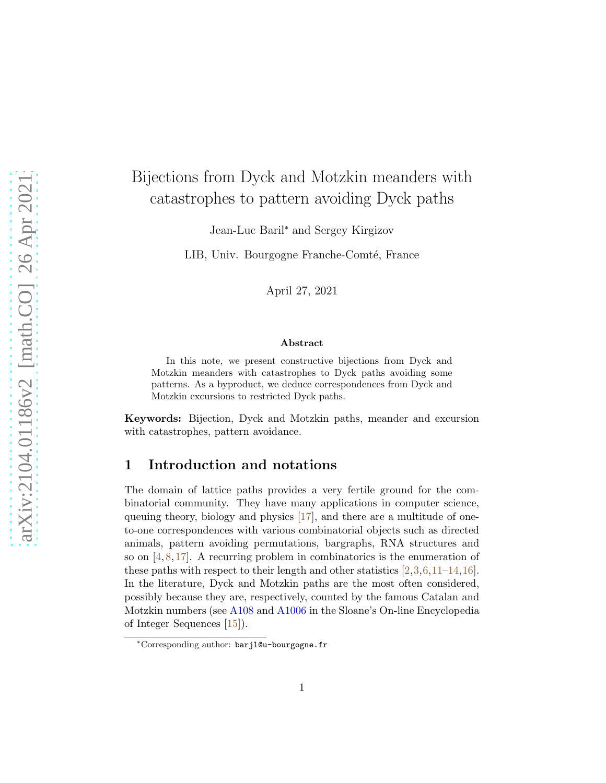# Bijections from Dyck and Motzkin meanders with catastrophes to pattern avoiding Dyck paths

Jean-Luc Baril<sup>∗</sup> and Sergey Kirgizov

LIB, Univ. Bourgogne Franche-Comté, France

April 27, 2021

#### Abstract

In this note, we present constructive bijections from Dyck and Motzkin meanders with catastrophes to Dyck paths avoiding some patterns. As a byproduct, we deduce correspondences from Dyck and Motzkin excursions to restricted Dyck paths.

Keywords: Bijection, Dyck and Motzkin paths, meander and excursion with catastrophes, pattern avoidance.

### 1 Introduction and notations

The domain of lattice paths provides a very fertile ground for the combinatorial community. They have many applications in computer science, queuing theory, biology and physics [\[17\]](#page-9-0), and there are a multitude of oneto-one correspondences with various combinatorial objects such as directed animals, pattern avoiding permutations, bargraphs, RNA structures and so on  $[4, 8, 17]$  $[4, 8, 17]$  $[4, 8, 17]$  $[4, 8, 17]$ . A recurring problem in combinatorics is the enumeration of these paths with respect to their length and other statistics [\[2,](#page-8-2)[3,](#page-8-3)[6,](#page-8-4)[11](#page-9-1)[–14,](#page-9-2)[16\]](#page-9-3). In the literature, Dyck and Motzkin paths are the most often considered, possibly because they are, respectively, counted by the famous Catalan and Motzkin numbers (see [A108](https://oeis.org/A108) and [A1006](https://oeis.org/A1006) in the Sloane's On-line Encyclopedia of Integer Sequences [\[15\]](#page-9-4)).

<sup>∗</sup>Corresponding author: barjl@u-bourgogne.fr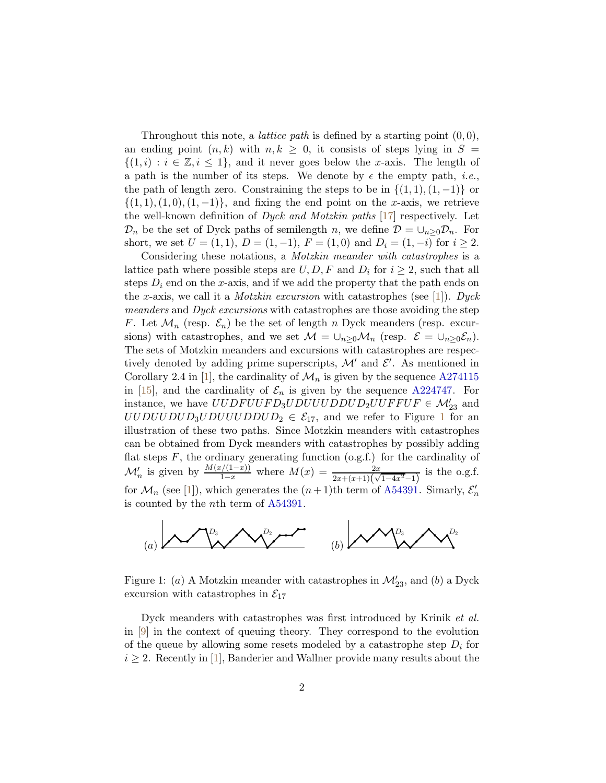Throughout this note, a *lattice path* is defined by a starting point  $(0, 0)$ , an ending point  $(n, k)$  with  $n, k \geq 0$ , it consists of steps lying in  $S =$  $\{(1,i): i \in \mathbb{Z}, i \leq 1\}$ , and it never goes below the x-axis. The length of a path is the number of its steps. We denote by  $\epsilon$  the empty path, *i.e.*, the path of length zero. Constraining the steps to be in  $\{(1,1),(1,-1)\}$  or  $\{(1, 1), (1, 0), (1, -1)\}\$ , and fixing the end point on the x-axis, we retrieve the well-known definition of *Dyck and Motzkin paths* [\[17\]](#page-9-0) respectively. Let  $\mathcal{D}_n$  be the set of Dyck paths of semilength n, we define  $\mathcal{D} = \cup_{n>0} \mathcal{D}_n$ . For short, we set  $U = (1, 1), D = (1, -1), F = (1, 0)$  and  $D_i = (1, -i)$  for  $i \ge 2$ .

Considering these notations, a Motzkin meander with catastrophes is a lattice path where possible steps are  $U, D, F$  and  $D_i$  for  $i \geq 2$ , such that all steps  $D_i$  end on the x-axis, and if we add the property that the path ends on the x-axis, we call it a *Motzkin excursion* with catastrophes (see [\[1\]](#page-8-5)). Dyck meanders and Dyck excursions with catastrophes are those avoiding the step F. Let  $\mathcal{M}_n$  (resp.  $\mathcal{E}_n$ ) be the set of length n Dyck meanders (resp. excursions) with catastrophes, and we set  $\mathcal{M} = \bigcup_{n>0} \mathcal{M}_n$  (resp.  $\mathcal{E} = \bigcup_{n>0} \mathcal{E}_n$ ). The sets of Motzkin meanders and excursions with catastrophes are respectively denoted by adding prime superscripts,  $\mathcal{M}'$  and  $\mathcal{E}'$ . As mentioned in Corollary 2.4 in [\[1\]](#page-8-5), the cardinality of  $\mathcal{M}_n$  is given by the sequence [A274115](https://oeis.org/A274115) in [\[15\]](#page-9-4), and the cardinality of  $\mathcal{E}_n$  is given by the sequence [A224747.](https://oeis.org/A224747) For instance, we have  $UUDFUVFD_3UDUUUDDUD_2UUFFUF \in \mathcal{M}'_{23}$  and  $UUDUUUDUUDUUUDDUUDDUD<sub>2</sub> \in \mathcal{E}_{17}$  $UUDUUUDUUDUUUDDUUDDUD<sub>2</sub> \in \mathcal{E}_{17}$  $UUDUUUDUUDUUUDDUUDDUD<sub>2</sub> \in \mathcal{E}_{17}$ , and we refer to Figure 1 for an illustration of these two paths. Since Motzkin meanders with catastrophes can be obtained from Dyck meanders with catastrophes by possibly adding flat steps  $F$ , the ordinary generating function  $(o.g.f.)$  for the cardinality of  $\mathcal{M}'_n$  is given by  $\frac{M(x/(1-x))}{1-x}$  where  $M(x) = \frac{2x}{2x+(x+1)(\sqrt{1-4x^2}-1)}$  is the o.g.f. for  $\mathcal{M}_n$  (see [\[1\]](#page-8-5)), which generates the  $(n+1)$ th term of [A54391.](https://oeis.org/A54391) Simarly,  $\mathcal{E}'_n$ is counted by the nth term of [A54391.](https://oeis.org/A54391)



<span id="page-1-0"></span>Figure 1: (*a*) A Motzkin meander with catastrophes in  $\mathcal{M}'_{23}$ , and (*b*) a Dyck excursion with catastrophes in  $\mathcal{E}_{17}$ 

Dyck meanders with catastrophes was first introduced by Krinik et al. in [\[9\]](#page-8-6) in the context of queuing theory. They correspond to the evolution of the queue by allowing some resets modeled by a catastrophe step  $D_i$  for  $i \geq 2$ . Recently in [\[1\]](#page-8-5), Banderier and Wallner provide many results about the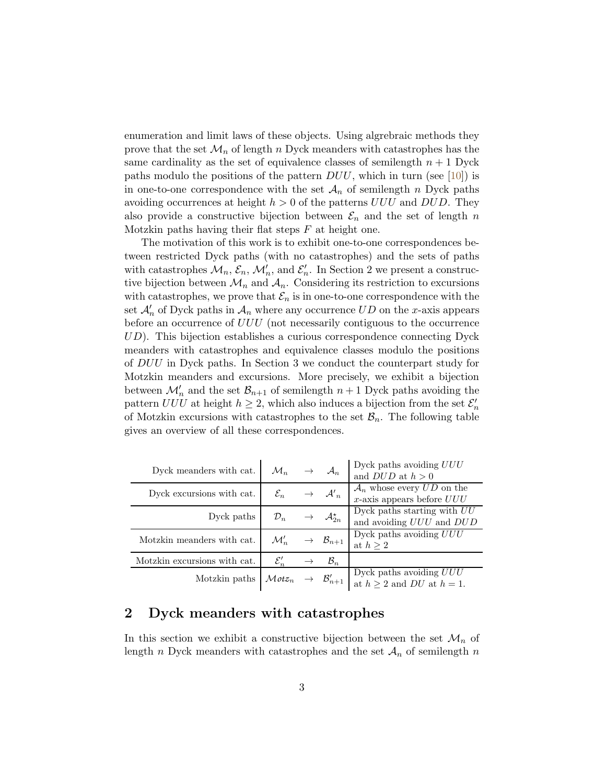enumeration and limit laws of these objects. Using algrebraic methods they prove that the set  $\mathcal{M}_n$  of length n Dyck meanders with catastrophes has the same cardinality as the set of equivalence classes of semilength  $n + 1$  Dyck paths modulo the positions of the pattern  $DUU$ , which in turn (see [\[10\]](#page-9-5)) is in one-to-one correspondence with the set  $\mathcal{A}_n$  of semilength n Dyck paths avoiding occurrences at height  $h > 0$  of the patterns  $UUU$  and  $DUD$ . They also provide a constructive bijection between  $\mathcal{E}_n$  and the set of length n Motzkin paths having their flat steps  $F$  at height one.

The motivation of this work is to exhibit one-to-one correspondences between restricted Dyck paths (with no catastrophes) and the sets of paths with catastrophes  $\mathcal{M}_n$ ,  $\mathcal{E}_n$ ,  $\mathcal{M}'_n$ , and  $\mathcal{E}'_n$ . In Section 2 we present a constructive bijection between  $\mathcal{M}_n$  and  $\mathcal{A}_n$ . Considering its restriction to excursions with catastrophes, we prove that  $\mathcal{E}_n$  is in one-to-one correspondence with the set  $\mathcal{A}'_n$  of Dyck paths in  $\mathcal{A}_n$  where any occurrence  $UD$  on the x-axis appears before an occurrence of UUU (not necessarily contiguous to the occurrence  $UD$ ). This bijection establishes a curious correspondence connecting Dyck meanders with catastrophes and equivalence classes modulo the positions of DUU in Dyck paths. In Section 3 we conduct the counterpart study for Motzkin meanders and excursions. More precisely, we exhibit a bijection between  $\mathcal{M}'_n$  and the set  $\mathcal{B}_{n+1}$  of semilength  $n+1$  Dyck paths avoiding the pattern  $UUU$  at height  $h \geq 2$ , which also induces a bijection from the set  $\mathcal{E}'_n$ of Motzkin excursions with catastrophes to the set  $\mathcal{B}_n$ . The following table gives an overview of all these correspondences.

| Dyck meanders with cat.      | $\mathcal{M}_n$                                    |               | $\rightarrow$ $\mathcal{A}_n$            | Dyck paths avoiding $UUU$<br>and $DUD$ at $h > 0$                         |
|------------------------------|----------------------------------------------------|---------------|------------------------------------------|---------------------------------------------------------------------------|
| Dyck excursions with cat.    | $\mathcal{E}_n$                                    |               | $\rightarrow$ $\mathcal{A'}_n$           | $\mathcal{A}_n$ whose every $UD$ on the<br>$x$ -axis appears before $UUU$ |
| Dyck paths                   | $\mathcal{D}_n$                                    |               | $\rightarrow$ $\mathcal{A}_{2n}^{\star}$ | Dyck paths starting with $UU$<br>and avoiding UUU and DUD                 |
| Motzkin meanders with cat.   | $\mathcal{M}'_n$                                   |               | $\rightarrow$ $\mathcal{B}_{n+1}$        | Dyck paths avoiding $UUU$<br>at $h \geq 2$                                |
| Motzkin excursions with cat. | $\mathcal{E}'_n$                                   | $\rightarrow$ | $\mathcal{B}_n$                          |                                                                           |
| Motzkin paths                | ${\cal M}otz_n \;\;\rightarrow\;\;{\cal B}'_{n+1}$ |               |                                          | Dyck paths avoiding $UUU$<br>at $h \geq 2$ and DU at $h = 1$ .            |

# 2 Dyck meanders with catastrophes

In this section we exhibit a constructive bijection between the set  $\mathcal{M}_n$  of length n Dyck meanders with catastrophes and the set  $A_n$  of semilength n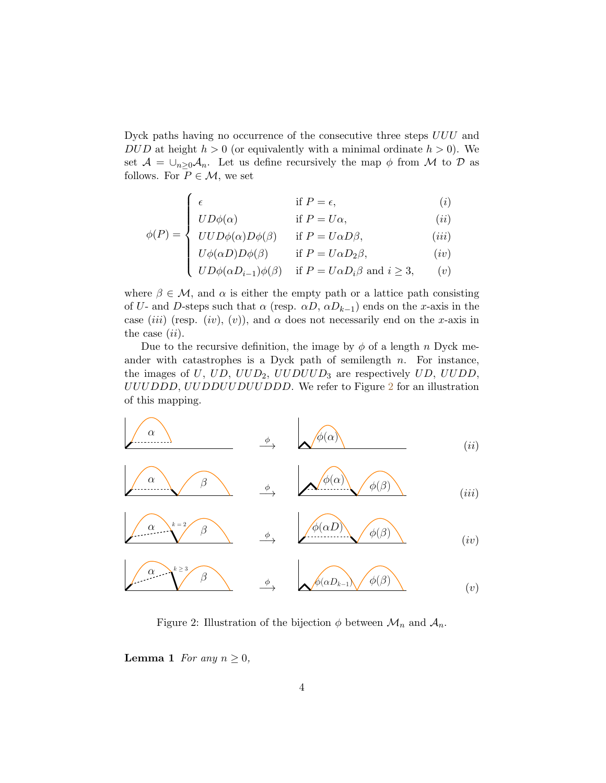Dyck paths having no occurrence of the consecutive three steps UUU and DUD at height  $h > 0$  (or equivalently with a minimal ordinate  $h > 0$ ). We set  $\mathcal{A} = \bigcup_{n>0} A_n$ . Let us define recursively the map  $\phi$  from M to D as follows. For  $P \in \mathcal{M}$ , we set

$$
\left(\begin{array}{ccc}\n\epsilon & & \text{if } P = \epsilon,\n\end{array}\right) \tag{i}
$$

$$
UD\phi(\alpha) \qquad \text{if } P = U\alpha,
$$
 (ii)

$$
\phi(P) = \begin{cases} UUD\phi(\alpha)D\phi(\beta) & \text{if } P = U\alpha D\beta, \\ U\phi(\alpha D)D\phi(\beta) & \text{if } P = U\alpha D_2\beta, \end{cases}
$$
 (iii)

$$
\begin{cases}\nU\phi(\alpha D)D\phi(\beta) & \text{if } P = U\alpha D_2\beta, \\
UD\phi(\alpha D_{i-1})\phi(\beta) & \text{if } P = U\alpha D_i\beta \text{ and } i \ge 3,\n\end{cases} (iv)
$$

where  $\beta \in \mathcal{M}$ , and  $\alpha$  is either the empty path or a lattice path consisting of U- and D-steps such that  $\alpha$  (resp.  $\alpha D$ ,  $\alpha D_{k-1}$ ) ends on the x-axis in the case (iii) (resp. (iv), (v)), and  $\alpha$  does not necessarily end on the x-axis in the case  $(ii)$ .

Due to the recursive definition, the image by  $\phi$  of a length n Dyck meander with catastrophes is a Dyck path of semilength  $n$ . For instance, the images of U, UD,  $UUD_2$ ,  $UUDUUD_3$  are respectively UD,  $UUDD$ , UUUDDD, UUDDUUDUUDDD. We refer to Figure [2](#page-3-0) for an illustration of this mapping.



$$
\begin{array}{c}\n\alpha \\
\longleftarrow^{k=2} \beta \\
\end{array}\n\qquad \qquad \rightarrow \qquad\n\begin{array}{c}\n\phi(\alpha D) \\
\longleftarrow^{k=2} \phi(\beta)\n\end{array}\n\qquad (iv)
$$

$$
\overbrace{\qquad \qquad }^{\alpha }\overset{k\geq3}{\longrightarrow }\overbrace{\qquad \qquad }^{\phi }\qquad \qquad \phi (\alpha D_{k-1})\overset{\phi }{\longrightarrow }\overbrace{\qquad \qquad }^{\phi }(\beta )\qquad \qquad (v)
$$

<span id="page-3-0"></span>Figure 2: Illustration of the bijection  $\phi$  between  $\mathcal{M}_n$  and  $\mathcal{A}_n$ .

<span id="page-3-1"></span>**Lemma 1** For any  $n \geq 0$ ,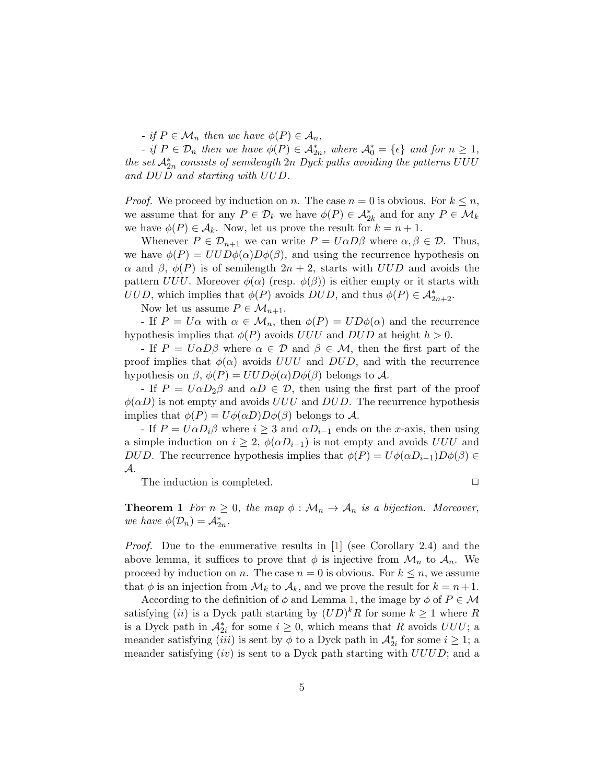- if  $P \in \mathcal{M}_n$  then we have  $\phi(P) \in \mathcal{A}_n$ ,

- if  $P \in \mathcal{D}_n$  then we have  $\phi(P) \in \mathcal{A}_{2n}^*$ , where  $\mathcal{A}_0^* = {\epsilon}$  and for  $n \geq 1$ , the set  $\mathcal{A}_{2n}^*$  consists of semilength  $2n$  Dyck paths avoiding the patterns UUU and DUD and starting with UUD.

*Proof.* We proceed by induction on n. The case  $n = 0$  is obvious. For  $k \leq n$ , we assume that for any  $P \in \mathcal{D}_k$  we have  $\phi(P) \in \mathcal{A}_{2k}^*$  and for any  $P \in \mathcal{M}_k$ we have  $\phi(P) \in \mathcal{A}_k$ . Now, let us prove the result for  $k = n + 1$ .

Whenever  $P \in \mathcal{D}_{n+1}$  we can write  $P = U \alpha D \beta$  where  $\alpha, \beta \in \mathcal{D}$ . Thus, we have  $\phi(P) = UUD\phi(\alpha)D\phi(\beta)$ , and using the recurrence hypothesis on  $\alpha$  and  $\beta$ ,  $\phi(P)$  is of semilength  $2n + 2$ , starts with UUD and avoids the pattern UUU. Moreover  $\phi(\alpha)$  (resp.  $\phi(\beta)$ ) is either empty or it starts with UUD, which implies that  $\phi(P)$  avoids  $DUD$ , and thus  $\phi(P) \in \mathcal{A}_{2n+2}^*$ .

Now let us assume  $P \in \mathcal{M}_{n+1}$ .

- If  $P = U\alpha$  with  $\alpha \in M_n$ , then  $\phi(P) = UD\phi(\alpha)$  and the recurrence hypothesis implies that  $\phi(P)$  avoids UUU and DUD at height  $h > 0$ .

- If  $P = U\alpha D\beta$  where  $\alpha \in \mathcal{D}$  and  $\beta \in \mathcal{M}$ , then the first part of the proof implies that  $\phi(\alpha)$  avoids UUU and DUD, and with the recurrence hypothesis on  $\beta$ ,  $\phi(P) = UUD\phi(\alpha)D\phi(\beta)$  belongs to A.

- If  $P = U\alpha D_2\beta$  and  $\alpha D \in \mathcal{D}$ , then using the first part of the proof  $\phi(\alpha D)$  is not empty and avoids UUU and DUD. The recurrence hypothesis implies that  $\phi(P) = U\phi(\alpha D)D\phi(\beta)$  belongs to A.

- If  $P = U \alpha D_i \beta$  where  $i \geq 3$  and  $\alpha D_{i-1}$  ends on the x-axis, then using a simple induction on  $i \geq 2$ ,  $\phi(\alpha D_{i-1})$  is not empty and avoids UUU and DUD. The recurrence hypothesis implies that  $\phi(P) = U\phi(\alpha D_{i-1})D\phi(\beta) \in$ A.

<span id="page-4-0"></span>The induction is completed.  $\Box$ 

**Theorem 1** For  $n \geq 0$ , the map  $\phi : \mathcal{M}_n \to \mathcal{A}_n$  is a bijection. Moreover, we have  $\phi(\mathcal{D}_n) = \mathcal{A}_{2n}^*$ .

*Proof.* Due to the enumerative results in [\[1\]](#page-8-5) (see Corollary 2.4) and the above lemma, it suffices to prove that  $\phi$  is injective from  $\mathcal{M}_n$  to  $\mathcal{A}_n$ . We proceed by induction on n. The case  $n = 0$  is obvious. For  $k \leq n$ , we assume that  $\phi$  is an injection from  $\mathcal{M}_k$  to  $\mathcal{A}_k$ , and we prove the result for  $k = n + 1$ .

According to the definition of  $\phi$  and Lemma [1,](#page-3-1) the image by  $\phi$  of  $P \in \mathcal{M}$ satisfying (*ii*) is a Dyck path starting by  $(UD)^k R$  for some  $k \geq 1$  where R is a Dyck path in  $\mathcal{A}_{2i}^*$  for some  $i \geq 0$ , which means that R avoids  $UUU$ ; a meander satisfying  $(iii)$  is sent by  $\phi$  to a Dyck path in  $\mathcal{A}_{2i}^*$  for some  $i \geq 1$ ; a meander satisfying  $(iv)$  is sent to a Dyck path starting with  $UUUD$ ; and a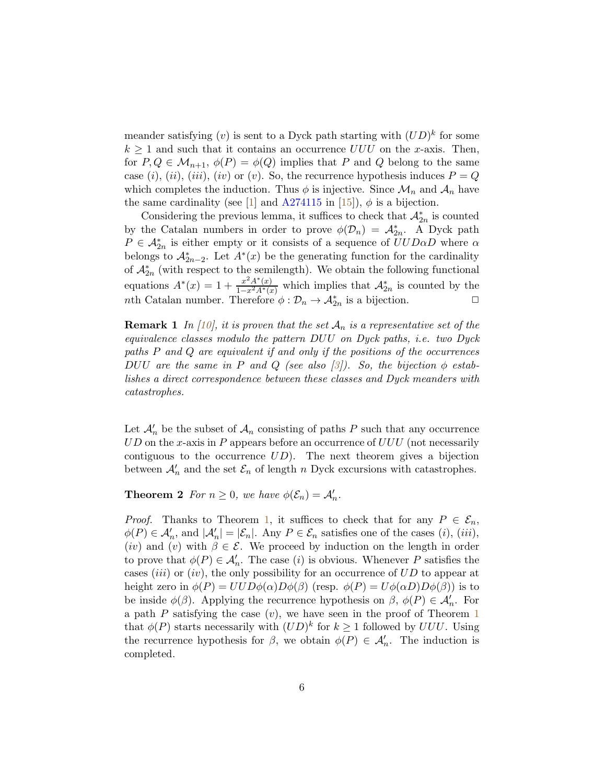meander satisfying  $(v)$  is sent to a Dyck path starting with  $(UD)^k$  for some  $k \geq 1$  and such that it contains an occurrence UUU on the x-axis. Then, for  $P, Q \in \mathcal{M}_{n+1}, \phi(P) = \phi(Q)$  implies that P and Q belong to the same case (i), (ii), (iii), (iv) or (v). So, the recurrence hypothesis induces  $P = Q$ which completes the induction. Thus  $\phi$  is injective. Since  $\mathcal{M}_n$  and  $\mathcal{A}_n$  have the same cardinality (see [\[1\]](#page-8-5) and [A274115](https://oeis.org/A274115) in [\[15\]](#page-9-4)),  $\phi$  is a bijection.

Considering the previous lemma, it suffices to check that  $\mathcal{A}_{2n}^*$  is counted by the Catalan numbers in order to prove  $\phi(\mathcal{D}_n) = \mathcal{A}_{2n}^*$ . A Dyck path  $P \in \mathcal{A}_{2n}^*$  is either empty or it consists of a sequence of  $UUD\alpha D$  where  $\alpha$ belongs to  $\mathcal{A}_{2n-2}^*$ . Let  $A^*(x)$  be the generating function for the cardinality of  $\mathcal{A}_{2n}^*$  (with respect to the semilength). We obtain the following functional equations  $A^*(x) = 1 + \frac{x^2 A^*(x)}{1 - x^2 A^*(x)}$  $\frac{x}{1-x^2} \frac{A'(x)}{A(x)}$  which implies that  $\mathcal{A}_{2n}^*$  is counted by the nth Catalan number. Therefore  $\phi : \mathcal{D}_n \to \mathcal{A}_{2n}^*$  is a bijection.

**Remark 1** In [\[10\]](#page-9-5), it is proven that the set  $A_n$  is a representative set of the equivalence classes modulo the pattern DUU on Dyck paths, i.e. two Dyck paths P and Q are equivalent if and only if the positions of the occurrences DUU are the same in P and Q (see also [\[3\]](#page-8-3)). So, the bijection  $\phi$  establishes a direct correspondence between these classes and Dyck meanders with catastrophes.

Let  $\mathcal{A}'_n$  be the subset of  $\mathcal{A}_n$  consisting of paths P such that any occurrence  $UD$  on the x-axis in P appears before an occurrence of  $UUU$  (not necessarily contiguous to the occurrence  $UD$ . The next theorem gives a bijection between  $\mathcal{A}'_n$  and the set  $\mathcal{E}_n$  of length n Dyck excursions with catastrophes.

**Theorem 2** For  $n \geq 0$ , we have  $\phi(\mathcal{E}_n) = \mathcal{A}'_n$ .

*Proof.* Thanks to Theorem [1,](#page-4-0) it suffices to check that for any  $P \in \mathcal{E}_n$ ,  $\phi(P) \in \mathcal{A}'_n$ , and  $|\mathcal{A}'_n| = |\mathcal{E}_n|$ . Any  $P \in \mathcal{E}_n$  satisfies one of the cases (i), (iii), (iv) and (v) with  $\beta \in \mathcal{E}$ . We proceed by induction on the length in order to prove that  $\phi(P) \in \mathcal{A}'_n$ . The case (*i*) is obvious. Whenever P satisfies the cases *(iii)* or *(iv)*, the only possibility for an occurrence of  $UD$  to appear at height zero in  $\phi(P) = UUD\phi(\alpha)D\phi(\beta)$  (resp.  $\phi(P) = U\phi(\alpha D)D\phi(\beta)$ ) is to be inside  $\phi(\beta)$ . Applying the recurrence hypothesis on  $\beta$ ,  $\phi(P) \in \mathcal{A}'_n$ . For a path  $P$  satisfying the case  $(v)$ , we have seen in the proof of Theorem [1](#page-4-0) that  $\phi(P)$  starts necessarily with  $(UD)^k$  for  $k \geq 1$  followed by  $UUU$ . Using the recurrence hypothesis for  $\beta$ , we obtain  $\phi(P) \in \mathcal{A}'_n$ . The induction is completed.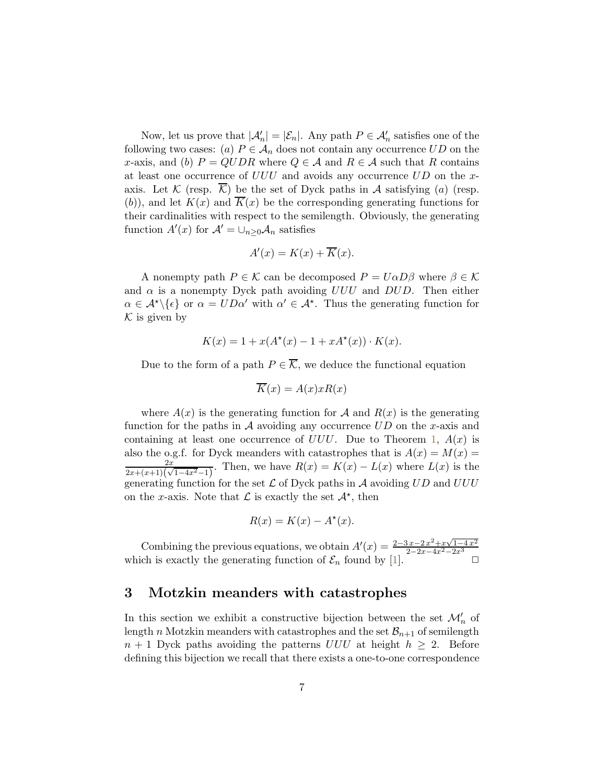Now, let us prove that  $|\mathcal{A}'_n| = |\mathcal{E}_n|$ . Any path  $P \in \mathcal{A}'_n$  satisfies one of the following two cases: (a)  $P \in A_n$  does not contain any occurrence  $UD$  on the x-axis, and (b)  $P = QUDR$  where  $Q \in \mathcal{A}$  and  $R \in \mathcal{A}$  such that R contains at least one occurrence of  $UUU$  and avoids any occurrence  $UD$  on the xaxis. Let K (resp.  $\overline{\mathcal{K}}$ ) be the set of Dyck paths in A satisfying (a) (resp. (b)), and let  $K(x)$  and  $\overline{K}(x)$  be the corresponding generating functions for their cardinalities with respect to the semilength. Obviously, the generating function  $A'(x)$  for  $\mathcal{A}' = \bigcup_{n \geq 0} \mathcal{A}_n$  satisfies

$$
A'(x) = K(x) + \overline{K}(x).
$$

A nonempty path  $P \in \mathcal{K}$  can be decomposed  $P = U \alpha D \beta$  where  $\beta \in \mathcal{K}$ and  $\alpha$  is a nonempty Dyck path avoiding UUU and DUD. Then either  $\alpha \in \mathcal{A}^{\star} \setminus \{\epsilon\}$  or  $\alpha = UD\alpha'$  with  $\alpha' \in \mathcal{A}^{\star}$ . Thus the generating function for  $\mathcal K$  is given by

$$
K(x) = 1 + x(A^*(x) - 1 + xA^*(x)) \cdot K(x).
$$

Due to the form of a path  $P \in \overline{\mathcal{K}}$ , we deduce the functional equation

$$
\overline{K}(x) = A(x)xR(x)
$$

where  $A(x)$  is the generating function for A and  $R(x)$  is the generating function for the paths in  $A$  avoiding any occurrence  $UD$  on the x-axis and containing at least one occurrence of  $UUU$ . Due to Theorem [1,](#page-4-0)  $A(x)$  is also the o.g.f. for Dyck meanders with catastrophes that is  $A(x) = M(x) =$  $\overline{2x}$  $\frac{2x}{(2x+(x+1)(\sqrt{1-4x^2}-1)}$ . Then, we have  $R(x) = K(x) - L(x)$  where  $L(x)$  is the generating function for the set  $\mathcal L$  of Dyck paths in  $\mathcal A$  avoiding  $UD$  and  $UUU$ on the x-axis. Note that  $\mathcal L$  is exactly the set  $\mathcal A^*$ , then

$$
R(x) = K(x) - A^*(x).
$$

Combining the previous equations, we obtain  $A'(x) = \frac{2-3x-2x^2+x\sqrt{1-4x^2}}{2-2x-4x^2-2x^3}$ Comoning the previous equations, we obtain  $A(x) = \frac{2-2x-4x^2-2x^3}{x^2-2x^3}$ <br>which is exactly the generating function of  $\mathcal{E}_n$  found by [\[1\]](#page-8-5).

## 3 Motzkin meanders with catastrophes

In this section we exhibit a constructive bijection between the set  $\mathcal{M}'_n$  of length n Motzkin meanders with catastrophes and the set  $\mathcal{B}_{n+1}$  of semilength  $n + 1$  Dyck paths avoiding the patterns UUU at height  $h \geq 2$ . Before defining this bijection we recall that there exists a one-to-one correspondence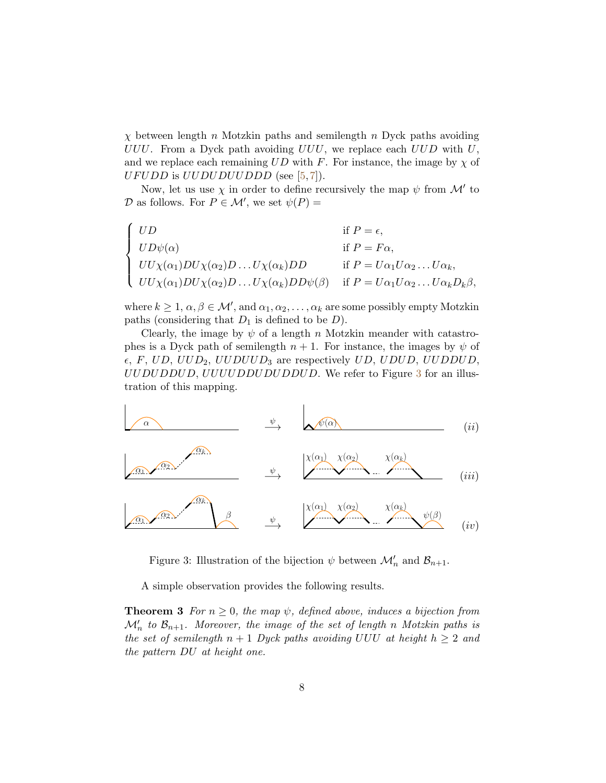$\chi$  between length n Motzkin paths and semilength n Dyck paths avoiding UUU. From a Dyck path avoiding  $UUU$ , we replace each  $UUD$  with  $U$ , and we replace each remaining  $UD$  with F. For instance, the image by  $\chi$  of  $UF U D D$  is  $U U D U U U D D D D$  (see [\[5,](#page-8-7)[7\]](#page-8-8)).

Now, let us use  $\chi$  in order to define recursively the map  $\psi$  from  $\mathcal{M}'$  to  $\mathcal D$  as follows. For  $P \in \mathcal M'$ , we set  $\psi(P) =$ 

$$
\begin{cases}\nUD & \text{if } P = \epsilon, \\
UD\psi(\alpha) & \text{if } P = F\alpha, \\
UU\chi(\alpha_1)DU\chi(\alpha_2)D \dots U\chi(\alpha_k)DD & \text{if } P = U\alpha_1U\alpha_2 \dots U\alpha_k, \\
UU\chi(\alpha_1)DU\chi(\alpha_2)D \dots U\chi(\alpha_k)DD\psi(\beta) & \text{if } P = U\alpha_1U\alpha_2 \dots U\alpha_kD_k\beta,\n\end{cases}
$$

where  $k \geq 1, \alpha, \beta \in \mathcal{M}'$ , and  $\alpha_1, \alpha_2, \ldots, \alpha_k$  are some possibly empty Motzkin paths (considering that  $D_1$  is defined to be  $D$ ).

Clearly, the image by  $\psi$  of a length n Motzkin meander with catastrophes is a Dyck path of semilength  $n + 1$ . For instance, the images by  $\psi$  of  $\epsilon$ , F, UD, UUD<sub>2</sub>, UUDUUD<sub>3</sub> are respectively UD, UDUD, UUDDUD, UUDUDDUD, UUUUDDUDUDDUD. We refer to Figure [3](#page-7-0) for an illustration of this mapping.



<span id="page-7-0"></span>Figure 3: Illustration of the bijection  $\psi$  between  $\mathcal{M}'_n$  and  $\mathcal{B}_{n+1}$ .

A simple observation provides the following results.

**Theorem 3** For  $n \geq 0$ , the map  $\psi$ , defined above, induces a bijection from  $\mathcal{M}'_n$  to  $\mathcal{B}_{n+1}$ . Moreover, the image of the set of length n Motzkin paths is the set of semilength  $n + 1$  Dyck paths avoiding UUU at height  $h \geq 2$  and the pattern DU at height one.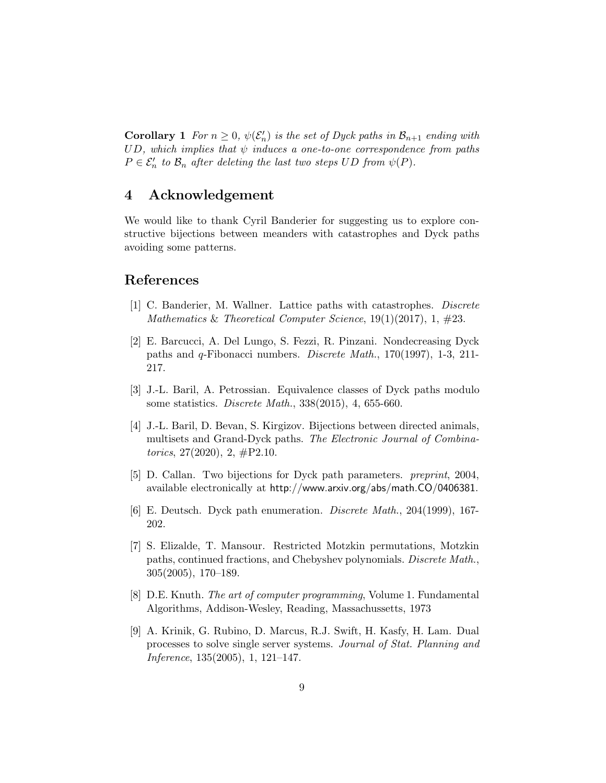**Corollary 1** For  $n \geq 0$ ,  $\psi(\mathcal{E}'_n)$  is the set of Dyck paths in  $\mathcal{B}_{n+1}$  ending with UD, which implies that  $\psi$  induces a one-to-one correspondence from paths  $P \in \mathcal{E}'_n$  to  $\mathcal{B}_n$  after deleting the last two steps UD from  $\psi(P)$ .

# 4 Acknowledgement

We would like to thank Cyril Banderier for suggesting us to explore constructive bijections between meanders with catastrophes and Dyck paths avoiding some patterns.

#### <span id="page-8-5"></span>References

- <span id="page-8-2"></span>[1] C. Banderier, M. Wallner. Lattice paths with catastrophes. Discrete Mathematics & Theoretical Computer Science,  $19(1)(2017)$ ,  $1, \#23$ .
- [2] E. Barcucci, A. Del Lungo, S. Fezzi, R. Pinzani. Nondecreasing Dyck paths and q-Fibonacci numbers. Discrete Math., 170(1997), 1-3, 211- 217.
- <span id="page-8-3"></span>[3] J.-L. Baril, A. Petrossian. Equivalence classes of Dyck paths modulo some statistics. Discrete Math., 338(2015), 4, 655-660.
- <span id="page-8-0"></span>[4] J.-L. Baril, D. Bevan, S. Kirgizov. Bijections between directed animals, multisets and Grand-Dyck paths. The Electronic Journal of Combinatorics,  $27(2020)$ ,  $2, \#P2.10$ .
- <span id="page-8-7"></span>[5] D. Callan. Two bijections for Dyck path parameters. preprint, 2004, available electronically at http://www.arxiv.org/abs/math.CO/0406381.
- <span id="page-8-8"></span><span id="page-8-4"></span>[6] E. Deutsch. Dyck path enumeration. Discrete Math., 204(1999), 167- 202.
- [7] S. Elizalde, T. Mansour. Restricted Motzkin permutations, Motzkin paths, continued fractions, and Chebyshev polynomials. Discrete Math., 305(2005), 170–189.
- <span id="page-8-6"></span><span id="page-8-1"></span>[8] D.E. Knuth. The art of computer programming, Volume 1. Fundamental Algorithms, Addison-Wesley, Reading, Massachussetts, 1973
- [9] A. Krinik, G. Rubino, D. Marcus, R.J. Swift, H. Kasfy, H. Lam. Dual processes to solve single server systems. Journal of Stat. Planning and Inference, 135(2005), 1, 121–147.